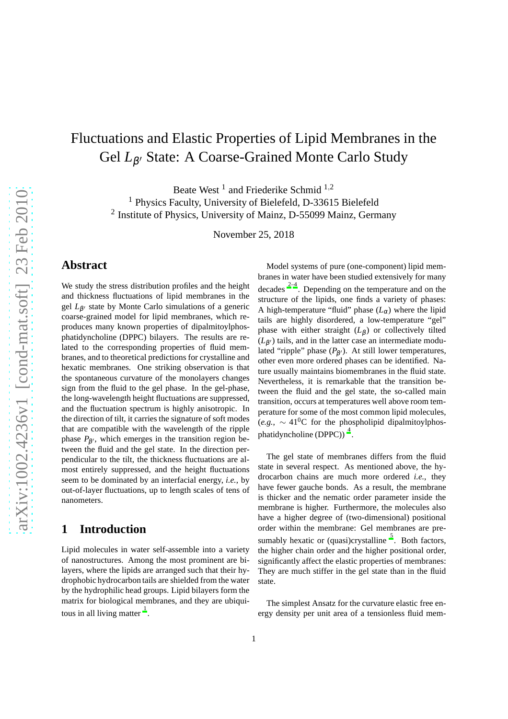# Fluctuations and Elastic Properties of Lipid Membranes in the Gel *L<sub>β'</sub>* State: A Coarse-Grained Monte Carlo Study

Beate West<sup>1</sup> and Friederike Schmid<sup>1,2</sup>

<sup>1</sup> Physics Faculty, University of Bielefeld, D-33615 Bielefeld <sup>2</sup> Institute of Physics, University of Mainz, D-55099 Mainz, Germany

November 25, 2018

#### **Abstract**

We study the stress distribution profiles and the height and thickness fluctuations of lipid membranes in the gel *L*<sup>β</sup> ′ state by Monte Carlo simulations of a generic coarse-grained model for lipid membranes, which reproduces many known properties of dipalmitoylphosphatidyncholine (DPPC) bilayers. The results are related to the corresponding properties of fluid membranes, and to theoretical predictions for crystalline and hexatic membranes. One striking observation is that the spontaneous curvature of the monolayers changes sign from the fluid to the gel phase. In the gel-phase, the long-wavelength height fluctuations are suppressed, and the fluctuation spectrum is highly anisotropic. In the direction of tilt, it carries the signature of soft modes that are compatible with the wavelength of the ripple phase  $P_{\beta}$ , which emerges in the transition region between the fluid and the gel state. In the direction perpendicular to the tilt, the thickness fluctuations are almost entirely suppressed, and the height fluctuations seem to be dominated by an interfacial energy, *i.e.*, by out-of-layer fluctuations, up to length scales of tens of nanometers.

### **1 Introduction**

Lipid molecules in water self-assemble into a variety of nanostructures. Among the most prominent are bilayers, where the lipids are arranged such that their hydrophobic hydrocarbon tails are shielded from the water by the hydrophilic head groups. Lipid bilayers form the matrix for biological membranes, and they are ubiquitous in all living matter  $\frac{1}{1}$  $\frac{1}{1}$  $\frac{1}{1}$ .

Model systems of pure (one-component) lipid membranes in water have been studied extensively for many decades  $2-4$  $2-4$ . Depending on the temperature and on the structure of the lipids, one finds a variety of phases: A high-temperature "fluid" phase  $(L_{\alpha})$  where the lipid tails are highly disordered, a low-temperature "gel" phase with either straight  $(L_{\beta})$  or collectively tilted  $(L_{\beta'})$  tails, and in the latter case an intermediate modulated "ripple" phase  $(P_{\beta})$ . At still lower temperatures, other even more ordered phases can be identified. Nature usually maintains biomembranes in the fluid state. Nevertheless, it is remarkable that the transition between the fluid and the gel state, the so-called main transition, occurs at temperatures well above room temperature for some of the most common lipid molecules, (*e.g.*, ∼ 410C for the phospholipid dipalmitoylphosphatidyncholine (DPPC)) $<sup>4</sup>$  $<sup>4</sup>$  $<sup>4</sup>$ .</sup>

The gel state of membranes differs from the fluid state in several respect. As mentioned above, the hydrocarbon chains are much more ordered *i.e.*, they have fewer gauche bonds. As a result, the membrane is thicker and the nematic order parameter inside the membrane is higher. Furthermore, the molecules also have a higher degree of (two-dimensional) positional order within the membrane: Gel membranes are presumably hexatic or (quasi)crystalline  $\frac{5}{1}$  $\frac{5}{1}$  $\frac{5}{1}$ . Both factors, the higher chain order and the higher positional order, significantly affect the elastic properties of membranes: They are much stiffer in the gel state than in the fluid state.

The simplest Ansatz for the curvature elastic free energy density per unit area of a tensionless fluid mem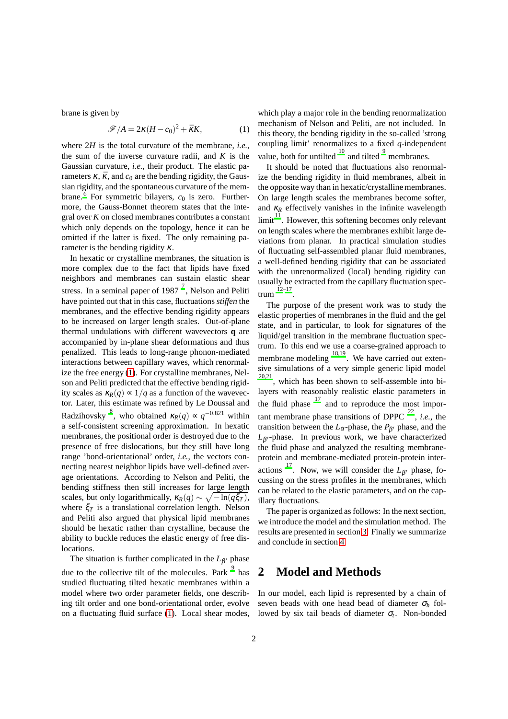brane is given by

<span id="page-1-0"></span>
$$
\mathscr{F}/A = 2\kappa (H - c_0)^2 + \bar{\kappa}K,\tag{1}
$$

where 2*H* is the total curvature of the membrane, *i.e.*, the sum of the inverse curvature radii, and *K* is the Gaussian curvature, *i.e.*, their product. The elastic parameters  $\kappa$ ,  $\bar{\kappa}$ , and  $c_0$  are the bending rigidity, the Gaussian rigidity, and the spontaneous curvature of the membrane.  $6$  For symmetric bilayers,  $c_0$  is zero. Furthermore, the Gauss-Bonnet theorem states that the integral over *K* on closed membranes contributes a constant which only depends on the topology, hence it can be omitted if the latter is fixed. The only remaining parameter is the bending rigidity  $\kappa$ .

In hexatic or crystalline membranes, the situation is more complex due to the fact that lipids have fixed neighbors and membranes can sustain elastic shear stress. In a seminal paper of 198[7](#page-7-5)<sup>7</sup>, Nelson and Peliti have pointed out that in this case, fluctuations *stiffen* the membranes, and the effective bending rigidity appears to be increased on larger length scales. Out-of-plane thermal undulations with different wavevectors **q** are accompanied by in-plane shear deformations and thus penalized. This leads to long-range phonon-mediated interactions between capillary waves, which renormalize the free energy [\(1\)](#page-1-0). For crystalline membranes, Nelson and Peliti predicted that the effective bending rigidity scales as  $\kappa_R(q) \propto 1/q$  as a function of the wavevector. Later, this estimate was refined by Le Doussal and Radzihovsky  $\frac{8}{7}$  $\frac{8}{7}$  $\frac{8}{7}$ , who obtained  $\kappa_R(q) \propto q^{-0.821}$  within a self-consistent screening approximation. In hexatic membranes, the positional order is destroyed due to the presence of free dislocations, but they still have long range 'bond-orientational' order, *i.e.*, the vectors connecting nearest neighbor lipids have well-defined average orientations. According to Nelson and Peliti, the bending stiffness then still increases for large length scales, but only logarithmically,  $\kappa_R(q) \sim \sqrt{-\ln(q\xi_T)}$ , where  $\xi_T$  is a translational correlation length. Nelson and Peliti also argued that physical lipid membranes should be hexatic rather than crystalline, because the ability to buckle reduces the elastic energy of free dislocations.

The situation is further complicated in the  $L_{\beta'}$  phase due to the collective tilt of the molecules. Park  $9 \text{ has}$  $9 \text{ has}$ studied fluctuating tilted hexatic membranes within a model where two order parameter fields, one describing tilt order and one bond-orientational order, evolve on a fluctuating fluid surface [\(1\)](#page-1-0). Local shear modes, which play a major role in the bending renormalization mechanism of Nelson and Peliti, are not included. In this theory, the bending rigidity in the so-called 'strong coupling limit' renormalizes to a fixed *q*-independent value, both for untilted  $\frac{10}{10}$  $\frac{10}{10}$  $\frac{10}{10}$  and tilted  $\frac{9}{10}$  $\frac{9}{10}$  $\frac{9}{10}$  membranes.

It should be noted that fluctuations also renormalize the bending rigidity in fluid membranes, albeit in the opposite way than in hexatic/crystalline membranes. On large length scales the membranes become softer, and  $\kappa_R$  effectively vanishes in the infinite wavelength  $\lim_{h \to 0}$  limit  $\frac{11}{h}$  $\frac{11}{h}$  $\frac{11}{h}$ . However, this softening becomes only relevant on length scales where the membranes exhibit large deviations from planar. In practical simulation studies of fluctuating self-assembled planar fluid membranes, a well-defined bending rigidity that can be associated with the unrenormalized (local) bending rigidity can usually be extracted from the capillary fluctuation spectrum [12](#page-7-10)[–17](#page-7-11) .

The purpose of the present work was to study the elastic properties of membranes in the fluid and the gel state, and in particular, to look for signatures of the liquid/gel transition in the membrane fluctuation spectrum. To this end we use a coarse-grained approach to membrane modeling  $^{18,19}$  $^{18,19}$  $^{18,19}$  $^{18,19}$ . We have carried out extensive simulations of a very simple generic lipid model  $20,21$  $20,21$ , which has been shown to self-assemble into bilayers with reasonably realistic elastic parameters in the fluid phase  $17$  and to reproduce the most important membrane phase transitions of DPPC  $^{22}$  $^{22}$  $^{22}$ , *i.e.*, the transition between the  $L_{\alpha}$ -phase, the  $P_{\beta'}$  phase, and the  $L_{\beta'}$ -phase. In previous work, we have characterized the fluid phase and analyzed the resulting membraneprotein and membrane-mediated protein-protein inter-actions <sup>[17](#page-7-11)</sup>. Now, we will consider the  $L_{\beta'}$  phase, focussing on the stress profiles in the membranes, which can be related to the elastic parameters, and on the capillary fluctuations.

The paper is organized as follows: In the next section, we introduce the model and the simulation method. The results are presented in section [3.](#page-2-0) Finally we summarize and conclude in section [4](#page-6-0)

#### **2 Model and Methods**

In our model, each lipid is represented by a chain of seven beads with one head bead of diameter  $\sigma_h$  followed by six tail beads of diameter  $\sigma_t$ . Non-bonded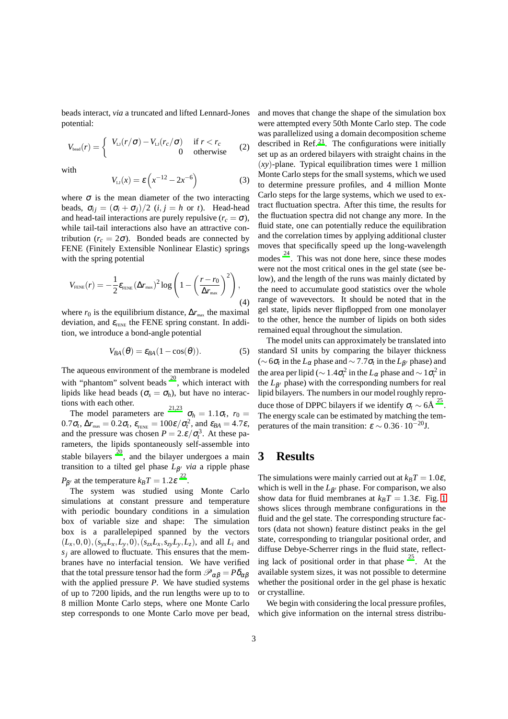beads interact, *via* a truncated and lifted Lennard-Jones potential:

$$
V_{\text{bead}}(r) = \begin{cases} V_{\text{Li}}(r/\sigma) - V_{\text{Li}}(r_c/\sigma) & \text{if } r < r_c \\ 0 & \text{otherwise} \end{cases} \tag{2}
$$

with

$$
V_{\text{LJ}}(x) = \varepsilon \left( x^{-12} - 2x^{-6} \right) \tag{3}
$$

where  $\sigma$  is the mean diameter of the two interacting beads,  $\sigma_{ii} = (\sigma_i + \sigma_j)/2$  (*i*, *j* = *h* or *t*). Head-head and head-tail interactions are purely repulsive  $(r_c = \sigma)$ , while tail-tail interactions also have an attractive contribution ( $r_c = 2\sigma$ ). Bonded beads are connected by FENE (Finitely Extensible Nonlinear Elastic) springs with the spring potential

$$
V_{\text{FENE}}(r) = -\frac{1}{2} \varepsilon_{\text{FENE}} (\Delta r_{\text{max}})^2 \log \left( 1 - \left( \frac{r - r_0}{\Delta r_{\text{max}}} \right)^2 \right), \tag{4}
$$

where  $r_0$  is the equilibrium distance,  $\Delta r_{\text{max}}$  the maximal deviation, and  $\epsilon_{\text{FENE}}$  the FENE spring constant. In addition, we introduce a bond-angle potential

$$
V_{BA}(\theta) = \varepsilon_{BA}(1 - \cos(\theta)).
$$
 (5)

The aqueous environment of the membrane is modeled with "phantom" solvent beads  $^{20}$  $^{20}$  $^{20}$ , which interact with lipids like head beads ( $\sigma_s = \sigma_h$ ), but have no interactions with each other.

The model parameters are  $^{21,23}$  $^{21,23}$  $^{21,23}$  $^{21,23}$   $\sigma_h = 1.1 \sigma_t$ ,  $r_0 =$  $0.7\sigma_t$ ,  $\Delta r_{\text{max}} = 0.2\sigma_t$ ,  $\varepsilon_{\text{FENE}} = 100\varepsilon/\sigma_t^2$ , and  $\varepsilon_{BA} = 4.7\varepsilon$ , and the pressure was chosen  $P = 2 \cdot \varepsilon / \sigma_t^3$ . At these parameters, the lipids spontaneously self-assemble into stable bilayers  $\frac{20}{1}$  $\frac{20}{1}$  $\frac{20}{1}$ , and the bilayer undergoes a main transition to a tilted gel phase *L*<sup>β</sup> ′ *via* a ripple phase  $P_{\beta'}$  at the temperature  $k_B T = 1.2 \varepsilon^{-22}$  $k_B T = 1.2 \varepsilon^{-22}$  $k_B T = 1.2 \varepsilon^{-22}$ .

The system was studied using Monte Carlo simulations at constant pressure and temperature with periodic boundary conditions in a simulation box of variable size and shape: The simulation box is a parallelepiped spanned by the vectors  $(L_x, 0, 0), (s_{vx}L_x, L_y, 0), (s_{zx}L_x, s_{zy}L_y, L_z),$  and all  $L_i$  and *s<sup>j</sup>* are allowed to fluctuate. This ensures that the membranes have no interfacial tension. We have verified that the total pressure tensor had the form  $\mathcal{P}_{\alpha\beta} = P\delta_{\alpha\beta}$ with the applied pressure *P*. We have studied systems of up to 7200 lipids, and the run lengths were up to to 8 million Monte Carlo steps, where one Monte Carlo step corresponds to one Monte Carlo move per bead, and moves that change the shape of the simulation box were attempted every 50th Monte Carlo step. The code was parallelized using a domain decomposition scheme described in Ref.<sup>[21](#page-7-15)</sup>. The configurations were initially set up as an ordered bilayers with straight chains in the  $(xy)$ -plane. Typical equilibration times were 1 million Monte Carlo steps for the small systems, which we used to determine pressure profiles, and 4 million Monte Carlo steps for the large systems, which we used to extract fluctuation spectra. After this time, the results for the fluctuation spectra did not change any more. In the fluid state, one can potentially reduce the equilibration and the correlation times by applying additional cluster moves that specifically speed up the long-wavelength modes<sup>[24](#page-7-18)</sup>. This was not done here, since these modes were not the most critical ones in the gel state (see below), and the length of the runs was mainly dictated by the need to accumulate good statistics over the whole range of wavevectors. It should be noted that in the gel state, lipids never flipflopped from one monolayer to the other, hence the number of lipids on both sides remained equal throughout the simulation.

The model units can approximately be translated into standard SI units by comparing the bilayer thickness  $($  ∼ 6 $\sigma_t$  in the  $L_α$  phase and  $\sim$  7.7 $\sigma_t$  in the  $L_{β'}$  phase) and the area per lipid ( $\sim 1.4\sigma_t^2$  in the  $L_\alpha$  phase and  $\sim 1\sigma_t^2$  in the  $L_{\beta'}$  phase) with the corresponding numbers for real lipid bilayers. The numbers in our model roughly reproduce those of DPPC bilayers if we identify  $\sigma_t \sim 6 \text{\AA}^2$ . The energy scale can be estimated by matching the temperatures of the main transition:  $\varepsilon \sim 0.36 \cdot 10^{-20}$ J.

## <span id="page-2-0"></span>**3 Results**

The simulations were mainly carried out at  $k_B T = 1.0 \varepsilon$ , which is well in the  $L_{\beta'}$  phase. For comparison, we also show data for fluid membranes at  $k_B T = 1.3 \varepsilon$  $k_B T = 1.3 \varepsilon$  $k_B T = 1.3 \varepsilon$ . Fig. 1 shows slices through membrane configurations in the fluid and the gel state. The corresponding structure factors (data not shown) feature distinct peaks in the gel state, corresponding to triangular positional order, and diffuse Debye-Scherrer rings in the fluid state, reflecting lack of positional order in that phase  $^{25}$  $^{25}$  $^{25}$ . At the available system sizes, it was not possible to determine whether the positional order in the gel phase is hexatic or crystalline.

We begin with considering the local pressure profiles, which give information on the internal stress distribu-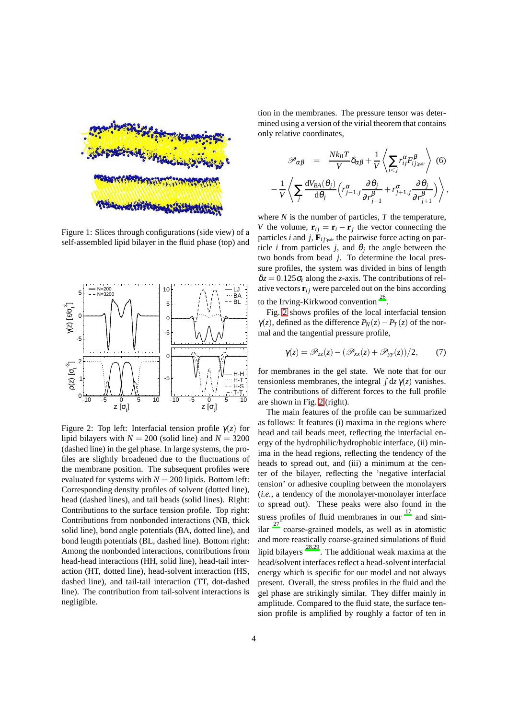

<span id="page-3-0"></span>Figure 1: Slices through configurations (side view) of a self-assembled lipid bilayer in the fluid phase (top) and



<span id="page-3-1"></span>Figure 2: Top left: Interfacial tension profile γ(*z*) for lipid bilayers with  $N = 200$  (solid line) and  $N = 3200$ (dashed line) in the gel phase. In large systems, the profiles are slightly broadened due to the fluctuations of the membrane position. The subsequent profiles were evaluated for systems with  $N = 200$  lipids. Bottom left: Corresponding density profiles of solvent (dotted line), head (dashed lines), and tail beads (solid lines). Right: Contributions to the surface tension profile. Top right: Contributions from nonbonded interactions (NB, thick solid line), bond angle potentials (BA, dotted line), and bond length potentials (BL, dashed line). Bottom right: Among the nonbonded interactions, contributions from head-head interactions (HH, solid line), head-tail interaction (HT, dotted line), head-solvent interaction (HS, dashed line), and tail-tail interaction (TT, dot-dashed line). The contribution from tail-solvent interactions is negligible.

tion in the membranes. The pressure tensor was determined using a version of the virial theorem that contains only relative coordinates,

$$
\mathscr{P}_{\alpha\beta} = \frac{Nk_B T}{V} \delta_{\alpha\beta} + \frac{1}{V} \left\langle \sum_{i < j} r_{ij}^{\alpha} F_{ij;\text{pair}}^{\beta} \right\rangle \tag{6}
$$
\n
$$
- \frac{1}{V} \left\langle \sum_{j} \frac{dV_{BA}(\theta_j)}{d\theta_j} \left( r_{j-1,j}^{\alpha} \frac{\partial \theta_j}{\partial r_{j-1}^{\beta}} + r_{j+1,j}^{\alpha} \frac{\partial \theta_j}{\partial r_{j+1}^{\beta}} \right) \right\rangle,
$$

where *N* is the number of particles, *T* the temperature, *V* the volume,  $\mathbf{r}_{ij} = \mathbf{r}_i - \mathbf{r}_j$  the vector connecting the particles  $i$  and  $j$ ,  $\mathbf{F}_{ij:pair}$  the pairwise force acting on particle *i* from particles *j*, and  $\theta_j$  the angle between the two bonds from bead *j*. To determine the local pressure profiles, the system was divided in bins of length  $\delta z = 0.125 \sigma_t$  along the *z*-axis. The contributions of relative vectors  $\mathbf{r}_{ij}$  were parceled out on the bins according to the Irving-Kirkwood convention  $^{26}$  $^{26}$  $^{26}$ .

Fig. [2](#page-3-1) shows profiles of the local interfacial tension *γ*(*z*), defined as the difference  $P<sub>N</sub>(z) − P<sub>T</sub>(z)$  of the normal and the tangential pressure profile,

$$
\gamma(z) = \mathscr{P}_{zz}(z) - (\mathscr{P}_{xx}(z) + \mathscr{P}_{yy}(z))/2, \qquad (7)
$$

for membranes in the gel state. We note that for our tensionless membranes, the integral  $\int dz \gamma(z)$  vanishes. The contributions of different forces to the full profile are shown in Fig. [2](#page-3-1) (right).

The main features of the profile can be summarized as follows: It features (i) maxima in the regions where head and tail beads meet, reflecting the interfacial energy of the hydrophilic/hydrophobic interface, (ii) minima in the head regions, reflecting the tendency of the heads to spread out, and (iii) a minimum at the center of the bilayer, reflecting the 'negative interfacial tension' or adhesive coupling between the monolayers (*i.e.*, a tendency of the monolayer-monolayer interface to spread out). These peaks were also found in the stress profiles of fluid membranes in our  $17$  and similar  $\frac{27}{1}$  $\frac{27}{1}$  $\frac{27}{1}$  coarse-grained models, as well as in atomistic and more reastically coarse-grained simulations of fluid lipid bilayers <sup>[28](#page-7-22)[,29](#page-7-23)</sup>. The additional weak maxima at the head/solvent interfaces reflect a head-solvent interfacial energy which is specific for our model and not always present. Overall, the stress profiles in the fluid and the gel phase are strikingly similar. They differ mainly in amplitude. Compared to the fluid state, the surface tension profile is amplified by roughly a factor of ten in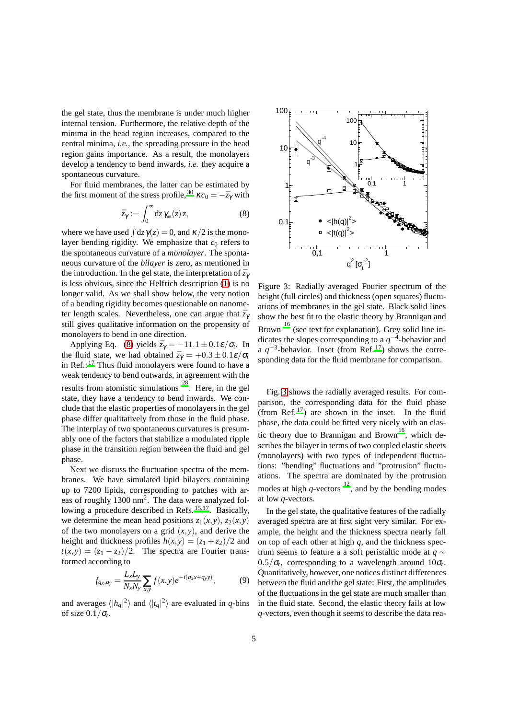the gel state, thus the membrane is under much higher internal tension. Furthermore, the relative depth of the minima in the head region increases, compared to the central minima, *i.e.*, the spreading pressure in the head region gains importance. As a result, the monolayers develop a tendency to bend inwards, *i.e.* they acquire a spontaneous curvature.

For fluid membranes, the latter can be estimated by the first moment of the stress profile, <sup>[30](#page-7-24)</sup>  $\kappa c_0 = -\bar{z}_\gamma$  with

<span id="page-4-0"></span>
$$
\bar{z}_{\gamma} := \int_0^{\infty} dz \, \gamma_{\rm int}(z) \, z,\tag{8}
$$

where we have used  $\int dz \gamma(z) = 0$ , and  $\kappa/2$  is the monolayer bending rigidity. We emphasize that  $c_0$  refers to the spontaneous curvature of a *monolayer*. The spontaneous curvature of the *bilayer* is zero, as mentioned in the introduction. In the gel state, the interpretation of  $\bar{z}_\gamma$ is less obvious, since the Helfrich description [\(1\)](#page-1-0) is no longer valid. As we shall show below, the very notion of a bending rigidity becomes questionable on nanometer length scales. Nevertheless, one can argue that  $\bar{z}_γ$ still gives qualitative information on the propensity of monolayers to bend in one direction.

Applying Eq. [\(8\)](#page-4-0) yields  $\bar{z}_{\gamma} = -11.1 \pm 0.1 \epsilon / \sigma_t$ . In the fluid state, we had obtained  $\bar{z}_{\gamma} = +0.3 \pm 0.1 \varepsilon / \sigma_t$ in Ref.: [17](#page-7-11) Thus fluid monolayers were found to have a weak tendency to bend outwards, in agreement with the results from atomistic simulations<sup>[28](#page-7-22)</sup>. Here, in the gel state, they have a tendency to bend inwards. We conclude that the elastic properties of monolayers in the gel phase differ qualitatively from those in the fluid phase. The interplay of two spontaneous curvatures is presumably one of the factors that stabilize a modulated ripple phase in the transition region between the fluid and gel phase.

Next we discuss the fluctuation spectra of the membranes. We have simulated lipid bilayers containing up to 7200 lipids, corresponding to patches with areas of roughly 1300 nm<sup>2</sup>. The data were analyzed following a procedure described in Refs. [15](#page-7-25)[,17](#page-7-11). Basically, we determine the mean head positions  $z_1(x, y)$ ,  $z_2(x, y)$ of the two monolayers on a grid  $(x, y)$ , and derive the height and thickness profiles  $h(x, y) = (z_1 + z_2)/2$  and  $t(x, y) = (z_1 - z_2)/2$ . The spectra are Fourier transformed according to

$$
f_{q_x,q_y} = \frac{L_x L_y}{N_x N_y} \sum_{x,y} f(x,y) e^{-i(q_x x + q_y y)},
$$
(9)

and averages  $\langle |h_q|^2 \rangle$  and  $\langle |t_q|^2 \rangle$  are evaluated in *q*-bins of size  $0.1/\sigma_t$ .



<span id="page-4-1"></span>Figure 3: Radially averaged Fourier spectrum of the height (full circles) and thickness (open squares) fluctuations of membranes in the gel state. Black solid lines show the best fit to the elastic theory by Brannigan and Brown <sup>[16](#page-7-26)</sup> (see text for explanation). Grey solid line indicates the slopes corresponding to a  $q^{-4}$ -behavior and a  $q^{-3}$ -behavior. Inset (from Ref.<sup>[17](#page-7-11)</sup>) shows the corresponding data for the fluid membrane for comparison.

Fig. [3](#page-4-1) shows the radially averaged results. For comparison, the corresponding data for the fluid phase (from  $\text{Ref.}^{17}$  $\text{Ref.}^{17}$  $\text{Ref.}^{17}$ ) are shown in the inset. In the fluid phase, the data could be fitted very nicely with an elas-tic theory due to Brannigan and Brown<sup>[16](#page-7-26)</sup>, which describes the bilayer in terms of two coupled elastic sheets (monolayers) with two types of independent fluctuations: "bending" fluctuations and "protrusion" fluctuations. The spectra are dominated by the protrusion modes at high  $q$ -vectors  $\frac{12}{q}$  $\frac{12}{q}$  $\frac{12}{q}$ , and by the bending modes at low *q*-vectors.

In the gel state, the qualitative features of the radially averaged spectra are at first sight very similar. For example, the height and the thickness spectra nearly fall on top of each other at high *q*, and the thickness spectrum seems to feature a a soft peristaltic mode at *q* ∼  $0.5/\sigma_t$ , corresponding to a wavelength around  $10\sigma_t$ . Quantitatively, however, one notices distinct differences between the fluid and the gel state: First, the amplitudes of the fluctuations in the gel state are much smaller than in the fluid state. Second, the elastic theory fails at low *q*-vectors, even though it seems to describe the data rea-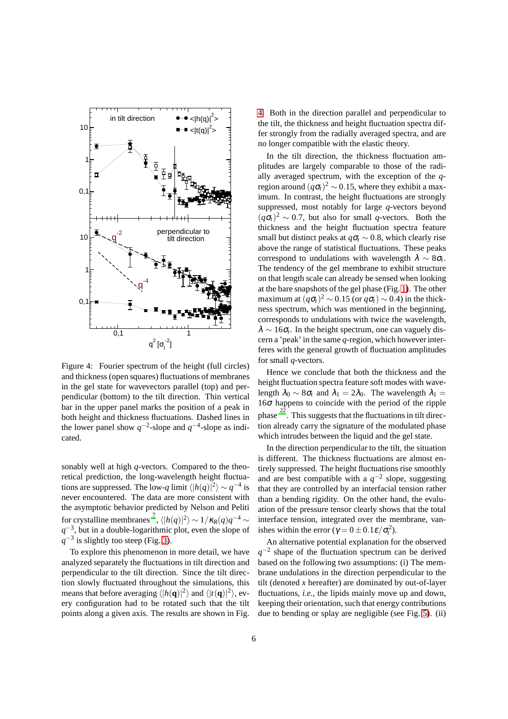

<span id="page-5-0"></span>Figure 4: Fourier spectrum of the height (full circles) and thickness (open squares) fluctuations of membranes in the gel state for wavevectors parallel (top) and perpendicular (bottom) to the tilt direction. Thin vertical bar in the upper panel marks the position of a peak in both height and thickness fluctuations. Dashed lines in the lower panel show  $q^{-2}$ -slope and  $q^{-4}$ -slope as indicated.

sonably well at high *q*-vectors. Compared to the theoretical prediction, the long-wavelength height fluctuations are suppressed. The low-*q* limit  $\langle |h(q)|^2 \rangle \sim q^{-4}$  is never encountered. The data are more consistent with the asymptotic behavior predicted by Nelson and Peliti for crystalline membranes  $\sqrt[7]{\frac{\lambda}{h(q)}} \sim 1/\kappa_R(q) q^{-4} \sim$  $\sqrt[7]{\frac{\lambda}{h(q)}} \sim 1/\kappa_R(q) q^{-4} \sim$  $\sqrt[7]{\frac{\lambda}{h(q)}} \sim 1/\kappa_R(q) q^{-4} \sim$ *q*<sup>−3</sup>, but in a double-logarithmic plot, even the slope of  $q^{-3}$  is slightly too steep (Fig. [3\)](#page-4-1).

To explore this phenomenon in more detail, we have analyzed separately the fluctuations in tilt direction and perpendicular to the tilt direction. Since the tilt direction slowly fluctuated throughout the simulations, this means that before averaging  $\langle |h(\mathbf{q})|^2 \rangle$  and  $\langle |t(\mathbf{q})|^2 \rangle$ , every configuration had to be rotated such that the tilt points along a given axis. The results are shown in Fig. [4.](#page-5-0) Both in the direction parallel and perpendicular to the tilt, the thickness and height fluctuation spectra differ strongly from the radially averaged spectra, and are no longer compatible with the elastic theory.

In the tilt direction, the thickness fluctuation amplitudes are largely comparable to those of the radially averaged spectrum, with the exception of the *q*region around  $(q\sigma_t)^2 \sim 0.15$ , where they exhibit a maximum. In contrast, the height fluctuations are strongly suppressed, most notably for large *q*-vectors beyond  $(q\sigma_t)^2 \sim 0.7$ , but also for small *q*-vectors. Both the thickness and the height fluctuation spectra feature small but distinct peaks at  $q\sigma_t \sim 0.8$ , which clearly rise above the range of statistical fluctuations. These peaks correspond to undulations with wavelength  $\lambda \sim 8\sigma_t$ . The tendency of the gel membrane to exhibit structure on that length scale can already be sensed when looking at the bare snapshots of the gel phase (Fig. [1\)](#page-3-0). The other maximum at  $(q\sigma_t)^2 \sim 0.15$  (or  $q\sigma_t$ )  $\sim 0.4$ ) in the thickness spectrum, which was mentioned in the beginning, corresponds to undulations with twice the wavelength,  $\lambda \sim 16\sigma_t$ . In the height spectrum, one can vaguely discern a 'peak' in the same *q*-region, which however interferes with the general growth of fluctuation amplitudes for small *q*-vectors.

Hence we conclude that both the thickness and the height fluctuation spectra feature soft modes with wavelength  $\lambda_0 \sim 8\sigma_t$  and  $\lambda_1 = 2\lambda_0$ . The wavelength  $\lambda_1 =$  $16\sigma$  happens to coincide with the period of the ripple phase  $^{22}$  $^{22}$  $^{22}$ . This suggests that the fluctuations in tilt direction already carry the signature of the modulated phase which intrudes between the liquid and the gel state.

In the direction perpendicular to the tilt, the situation is different. The thickness fluctuations are almost entirely suppressed. The height fluctuations rise smoothly and are best compatible with a  $q^{-2}$  slope, suggesting that they are controlled by an interfacial tension rather than a bending rigidity. On the other hand, the evaluation of the pressure tensor clearly shows that the total interface tension, integrated over the membrane, vanishes within the error ( $\gamma = 0 \pm 0.1 \varepsilon / \sigma_t^2$ ).

An alternative potential explanation for the observed  $q^{-2}$  shape of the fluctuation spectrum can be derived based on the following two assumptions: (i) The membrane undulations in the direction perpendicular to the tilt (denoted *x* hereafter) are dominated by out-of-layer fluctuations, *i.e.*, the lipids mainly move up and down, keeping their orientation, such that energy contributions due to bending or splay are negligible (see Fig. [5\)](#page-6-1). (ii)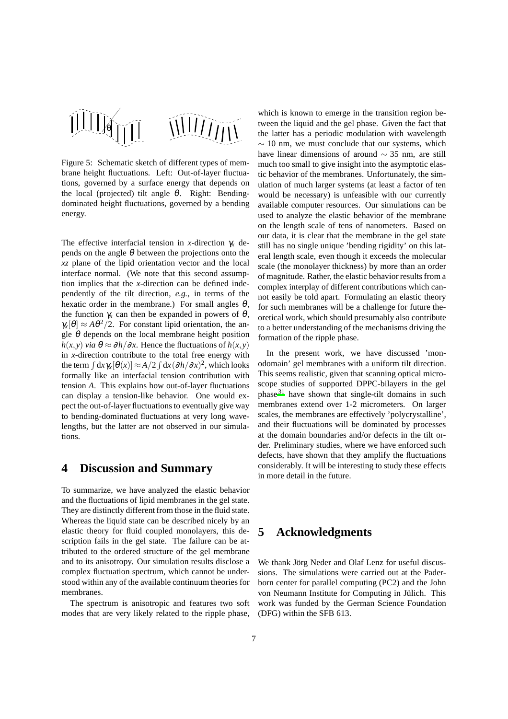

<span id="page-6-1"></span>Figure 5: Schematic sketch of different types of membrane height fluctuations. Left: Out-of-layer fluctuations, governed by a surface energy that depends on the local (projected) tilt angle  $\theta$ . Right: Bendingdominated height fluctuations, governed by a bending energy.

The effective interfacial tension in *x*-direction  $\gamma$ <sup>*x*</sup> depends on the angle  $\theta$  between the projections onto the *xz* plane of the lipid orientation vector and the local interface normal. (We note that this second assumption implies that the *x*-direction can be defined independently of the tilt direction, *e.g.*, in terms of the hexatic order in the membrane.) For small angles  $\theta$ , the function  $\gamma$ <sub>x</sub> can then be expanded in powers of  $\theta$ ,  $\gamma_{x}[\theta] \approx A\theta^2/2$ . For constant lipid orientation, the angle  $\theta$  depends on the local membrane height position *h*(*x*,*y*) *via*  $\theta \approx \partial h / \partial x$ . Hence the fluctuations of *h*(*x*,*y*) in *x*-direction contribute to the total free energy with the term  $\int dx \gamma_x[\theta(x)] \approx A/2 \int dx (\partial h/\partial x)^2$ , which looks formally like an interfacial tension contribution with tension *A*. This explains how out-of-layer fluctuations can display a tension-like behavior. One would expect the out-of-layer fluctuations to eventually give way to bending-dominated fluctuations at very long wavelengths, but the latter are not observed in our simulations.

#### <span id="page-6-0"></span>**4 Discussion and Summary**

To summarize, we have analyzed the elastic behavior and the fluctuations of lipid membranes in the gel state. They are distinctly different from those in the fluid state. Whereas the liquid state can be described nicely by an elastic theory for fluid coupled monolayers, this description fails in the gel state. The failure can be attributed to the ordered structure of the gel membrane and to its anisotropy. Our simulation results disclose a complex fluctuation spectrum, which cannot be understood within any of the available continuum theories for membranes.

The spectrum is anisotropic and features two soft modes that are very likely related to the ripple phase,

which is known to emerge in the transition region between the liquid and the gel phase. Given the fact that the latter has a periodic modulation with wavelength  $\sim$  10 nm, we must conclude that our systems, which have linear dimensions of around ∼ 35 nm, are still much too small to give insight into the asymptotic elastic behavior of the membranes. Unfortunately, the simulation of much larger systems (at least a factor of ten would be necessary) is unfeasible with our currently available computer resources. Our simulations can be used to analyze the elastic behavior of the membrane on the length scale of tens of nanometers. Based on our data, it is clear that the membrane in the gel state still has no single unique 'bending rigidity' on this lateral length scale, even though it exceeds the molecular scale (the monolayer thickness) by more than an order of magnitude. Rather, the elastic behavior results from a complex interplay of different contributions which cannot easily be told apart. Formulating an elastic theory for such membranes will be a challenge for future theoretical work, which should presumably also contribute to a better understanding of the mechanisms driving the formation of the ripple phase.

In the present work, we have discussed 'monodomain' gel membranes with a uniform tilt direction. This seems realistic, given that scanning optical microscope studies of supported DPPC-bilayers in the gel phase [31](#page-7-27) have shown that single-tilt domains in such membranes extend over 1-2 micrometers. On larger scales, the membranes are effectively 'polycrystalline', and their fluctuations will be dominated by processes at the domain boundaries and/or defects in the tilt order. Preliminary studies, where we have enforced such defects, have shown that they amplify the fluctuations considerably. It will be interesting to study these effects in more detail in the future.

## **5 Acknowledgments**

We thank Jörg Neder and Olaf Lenz for useful discussions. The simulations were carried out at the Paderborn center for parallel computing (PC2) and the John von Neumann Institute for Computing in Jülich. This work was funded by the German Science Foundation (DFG) within the SFB 613.